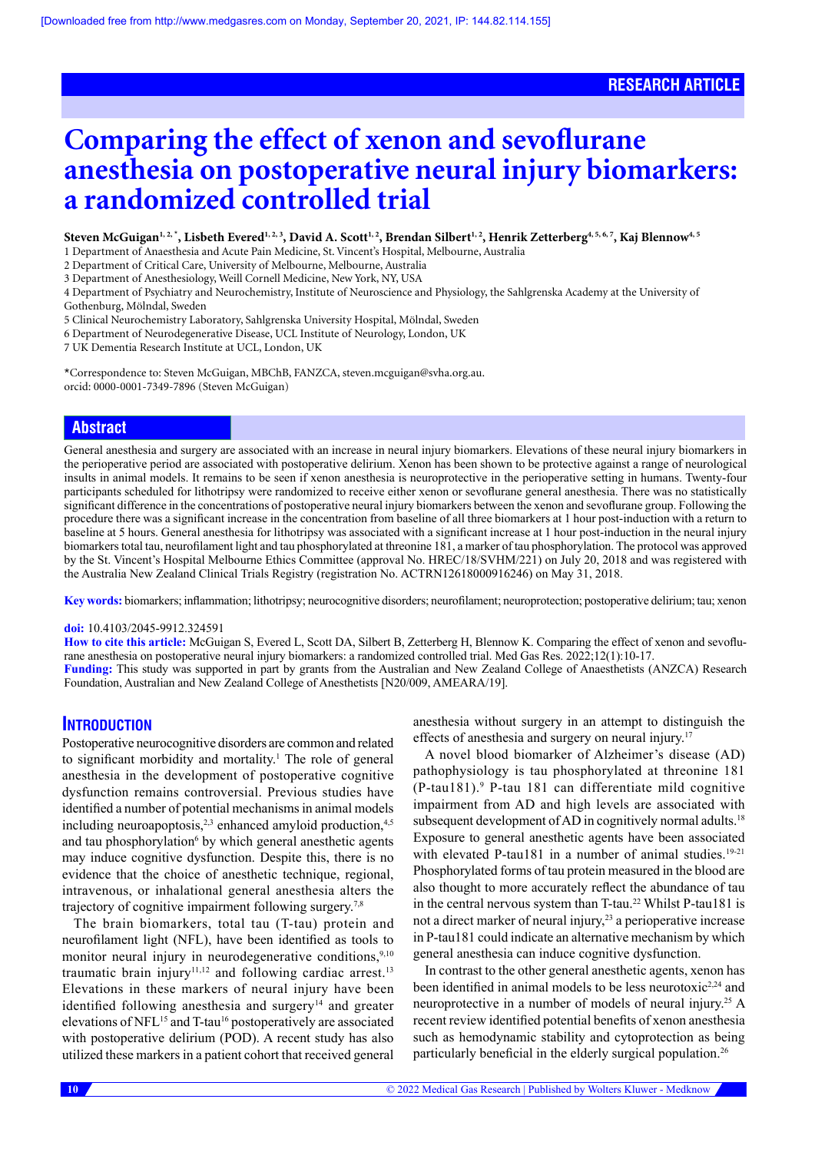# **Comparing the effect of xenon and sevoflurane anesthesia on postoperative neural injury biomarkers: a randomized controlled trial**

Steven McGuigan<sup>1, 2,</sup>\*, Lisbeth Evered<sup>1, 2, 3</sup>, David A. Scott<sup>1, 2</sup>, Brendan Silbert<sup>1, 2</sup>, Henrik Zetterberg<sup>4, 5, 6, 7</sup>, Kaj Blennow<sup>4, 5</sup>

1 Department of Anaesthesia and Acute Pain Medicine, St. Vincent's Hospital, Melbourne, Australia

2 Department of Critical Care, University of Melbourne, Melbourne, Australia

3 Department of Anesthesiology, Weill Cornell Medicine, New York, NY, USA

4 Department of Psychiatry and Neurochemistry, Institute of Neuroscience and Physiology, the Sahlgrenska Academy at the University of Gothenburg, Mölndal, Sweden

5 Clinical Neurochemistry Laboratory, Sahlgrenska University Hospital, Mölndal, Sweden

6 Department of Neurodegenerative Disease, UCL Institute of Neurology, London, UK

7 UK Dementia Research Institute at UCL, London, UK

\*Correspondence to: Steven McGuigan, MBChB, FANZCA, steven.mcguigan@svha.org.au. orcid: [0000-0001-7349-7896](http://orcid/org/0000-0001-7349-7896) (Steven McGuigan)

# **Abstract**

General anesthesia and surgery are associated with an increase in neural injury biomarkers. Elevations of these neural injury biomarkers in the perioperative period are associated with postoperative delirium. Xenon has been shown to be protective against a range of neurological insults in animal models. It remains to be seen if xenon anesthesia is neuroprotective in the perioperative setting in humans. Twenty-four participants scheduled for lithotripsy were randomized to receive either xenon or sevoflurane general anesthesia. There was no statistically significant difference in the concentrations of postoperative neural injury biomarkers between the xenon and sevoflurane group. Following the procedure there was a significant increase in the concentration from baseline of all three biomarkers at 1 hour post-induction with a return to baseline at 5 hours. General anesthesia for lithotripsy was associated with a significant increase at 1 hour post-induction in the neural injury biomarkers total tau, neurofilament light and tau phosphorylated at threonine 181, a marker of tau phosphorylation. The protocol was approved by the St. Vincent's Hospital Melbourne Ethics Committee (approval No. HREC/18/SVHM/221) on July 20, 2018 and was registered with the Australia New Zealand Clinical Trials Registry (registration No. ACTRN12618000916246) on May 31, 2018.

**Key words:** biomarkers; inflammation; lithotripsy; neurocognitive disorders; neurofilament; neuroprotection; postoperative delirium; tau; xenon

# **doi:** 10.4103/2045-9912.324591

**How to cite this article:** McGuigan S, Evered L, Scott DA, Silbert B, Zetterberg H, Blennow K. Comparing the effect of xenon and sevoflurane anesthesia on postoperative neural injury biomarkers: a randomized controlled trial. Med Gas Res. 2022;12(1):10-17. **Funding:** This study was supported in part by grants from the Australian and New Zealand College of Anaesthetists (ANZCA) Research Foundation, Australian and New Zealand College of Anesthetists [N20/009, AMEARA/19].

# **INTRODUCTION**

Postoperative neurocognitive disorders are common and related to significant morbidity and mortality.<sup>1</sup> The role of general anesthesia in the development of postoperative cognitive dysfunction remains controversial. Previous studies have identified a number of potential mechanisms in animal models including neuroapoptosis, $2,3$  enhanced amyloid production, $4,5$ and tau phosphorylation<sup>6</sup> by which general anesthetic agents may induce cognitive dysfunction. Despite this, there is no evidence that the choice of anesthetic technique, regional, intravenous, or inhalational general anesthesia alters the trajectory of cognitive impairment following surgery.<sup>7,8</sup>

The brain biomarkers, total tau (T-tau) protein and neurofilament light (NFL), have been identified as tools to monitor neural injury in neurodegenerative conditions, $9,10$ traumatic brain injury<sup>11,12</sup> and following cardiac arrest.<sup>13</sup> Elevations in these markers of neural injury have been identified following anesthesia and surgery $14$  and greater elevations of NFL<sup>15</sup> and T-tau<sup>16</sup> postoperatively are associated with postoperative delirium (POD). A recent study has also utilized these markers in a patient cohort that received general

anesthesia without surgery in an attempt to distinguish the effects of anesthesia and surgery on neural injury.<sup>17</sup>

A novel blood biomarker of Alzheimer's disease (AD) pathophysiology is tau phosphorylated at threonine 181 (P-tau181).9 P-tau 181 can differentiate mild cognitive impairment from AD and high levels are associated with subsequent development of AD in cognitively normal adults.<sup>18</sup> Exposure to general anesthetic agents have been associated with elevated P-tau181 in a number of animal studies.<sup>19-21</sup> Phosphorylated forms of tau protein measured in the blood are also thought to more accurately reflect the abundance of tau in the central nervous system than T-tau.<sup>22</sup> Whilst P-tau181 is not a direct marker of neural injury,<sup>23</sup> a perioperative increase in P-tau181 could indicate an alternative mechanism by which general anesthesia can induce cognitive dysfunction.

In contrast to the other general anesthetic agents, xenon has been identified in animal models to be less neurotoxic<sup>2,24</sup> and neuroprotective in a number of models of neural injury.25 A recent review identified potential benefits of xenon anesthesia such as hemodynamic stability and cytoprotection as being particularly beneficial in the elderly surgical population.<sup>26</sup>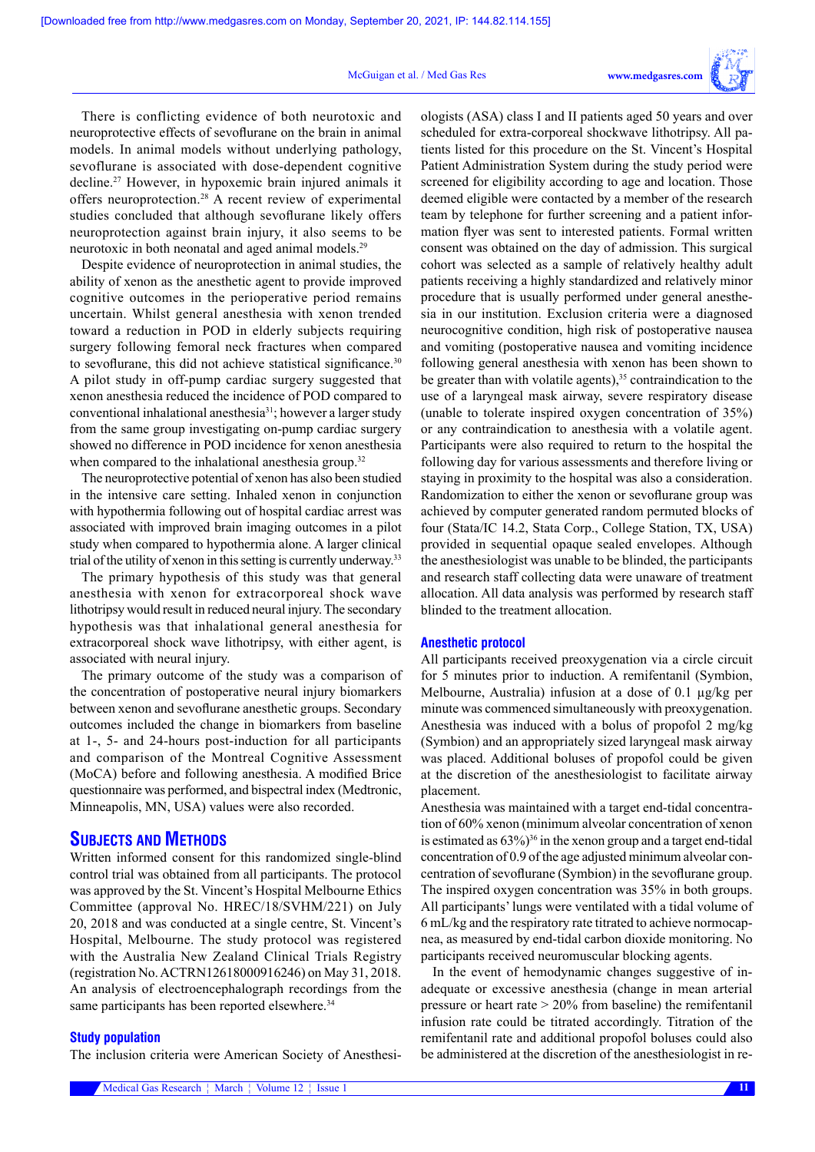#### McGuigan et al. / Med Gas Res **www.medgasres.com**



There is conflicting evidence of both neurotoxic and neuroprotective effects of sevoflurane on the brain in animal models. In animal models without underlying pathology, sevoflurane is associated with dose-dependent cognitive decline.27 However, in hypoxemic brain injured animals it offers neuroprotection.28 A recent review of experimental studies concluded that although sevoflurane likely offers neuroprotection against brain injury, it also seems to be neurotoxic in both neonatal and aged animal models.29

Despite evidence of neuroprotection in animal studies, the ability of xenon as the anesthetic agent to provide improved cognitive outcomes in the perioperative period remains uncertain. Whilst general anesthesia with xenon trended toward a reduction in POD in elderly subjects requiring surgery following femoral neck fractures when compared to sevoflurane, this did not achieve statistical significance.<sup>30</sup> A pilot study in off-pump cardiac surgery suggested that xenon anesthesia reduced the incidence of POD compared to conventional inhalational anesthesia31; however a larger study from the same group investigating on-pump cardiac surgery showed no difference in POD incidence for xenon anesthesia when compared to the inhalational anesthesia group.<sup>32</sup>

The neuroprotective potential of xenon has also been studied in the intensive care setting. Inhaled xenon in conjunction with hypothermia following out of hospital cardiac arrest was associated with improved brain imaging outcomes in a pilot study when compared to hypothermia alone. A larger clinical trial of the utility of xenon in this setting is currently underway.<sup>33</sup>

The primary hypothesis of this study was that general anesthesia with xenon for extracorporeal shock wave lithotripsy would result in reduced neural injury. The secondary hypothesis was that inhalational general anesthesia for extracorporeal shock wave lithotripsy, with either agent, is associated with neural injury.

The primary outcome of the study was a comparison of the concentration of postoperative neural injury biomarkers between xenon and sevoflurane anesthetic groups. Secondary outcomes included the change in biomarkers from baseline at 1-, 5- and 24-hours post-induction for all participants and comparison of the Montreal Cognitive Assessment (MoCA) before and following anesthesia. A modified Brice questionnaire was performed, and bispectral index (Medtronic, Minneapolis, MN, USA) values were also recorded.

# **SUBJECTS AND METHODS**

Written informed consent for this randomized single-blind control trial was obtained from all participants. The protocol was approved by the St. Vincent's Hospital Melbourne Ethics Committee (approval No. HREC/18/SVHM/221) on July 20, 2018 and was conducted at a single centre, St. Vincent's Hospital, Melbourne. The study protocol was registered with the Australia New Zealand Clinical Trials Registry (registration No. ACTRN12618000916246) on May 31, 2018. An analysis of electroencephalograph recordings from the same participants has been reported elsewhere.<sup>34</sup>

# **Study population**

The inclusion criteria were American Society of Anesthesi-

ologists (ASA) class I and II patients aged 50 years and over scheduled for extra-corporeal shockwave lithotripsy. All patients listed for this procedure on the St. Vincent's Hospital Patient Administration System during the study period were screened for eligibility according to age and location. Those deemed eligible were contacted by a member of the research team by telephone for further screening and a patient information flyer was sent to interested patients. Formal written consent was obtained on the day of admission. This surgical cohort was selected as a sample of relatively healthy adult patients receiving a highly standardized and relatively minor procedure that is usually performed under general anesthesia in our institution. Exclusion criteria were a diagnosed neurocognitive condition, high risk of postoperative nausea and vomiting (postoperative nausea and vomiting incidence following general anesthesia with xenon has been shown to be greater than with volatile agents),  $35$  contraindication to the use of a laryngeal mask airway, severe respiratory disease (unable to tolerate inspired oxygen concentration of 35%) or any contraindication to anesthesia with a volatile agent. Participants were also required to return to the hospital the following day for various assessments and therefore living or staying in proximity to the hospital was also a consideration. Randomization to either the xenon or sevoflurane group was achieved by computer generated random permuted blocks of four (Stata/IC 14.2, Stata Corp., College Station, TX, USA) provided in sequential opaque sealed envelopes. Although the anesthesiologist was unable to be blinded, the participants and research staff collecting data were unaware of treatment allocation. All data analysis was performed by research staff blinded to the treatment allocation.

# **Anesthetic protocol**

All participants received preoxygenation via a circle circuit for 5 minutes prior to induction. A remifentanil (Symbion, Melbourne, Australia) infusion at a dose of 0.1  $\mu$ g/kg per minute was commenced simultaneously with preoxygenation. Anesthesia was induced with a bolus of propofol 2 mg/kg (Symbion) and an appropriately sized laryngeal mask airway was placed. Additional boluses of propofol could be given at the discretion of the anesthesiologist to facilitate airway placement.

Anesthesia was maintained with a target end-tidal concentration of 60% xenon (minimum alveolar concentration of xenon is estimated as  $63\%$ <sup>36</sup> in the xenon group and a target end-tidal concentration of 0.9 of the age adjusted minimum alveolar concentration of sevoflurane (Symbion) in the sevoflurane group. The inspired oxygen concentration was 35% in both groups. All participants' lungs were ventilated with a tidal volume of 6 mL/kg and the respiratory rate titrated to achieve normocapnea, as measured by end-tidal carbon dioxide monitoring. No participants received neuromuscular blocking agents.

In the event of hemodynamic changes suggestive of inadequate or excessive anesthesia (change in mean arterial pressure or heart rate > 20% from baseline) the remifentanil infusion rate could be titrated accordingly. Titration of the remifentanil rate and additional propofol boluses could also be administered at the discretion of the anesthesiologist in re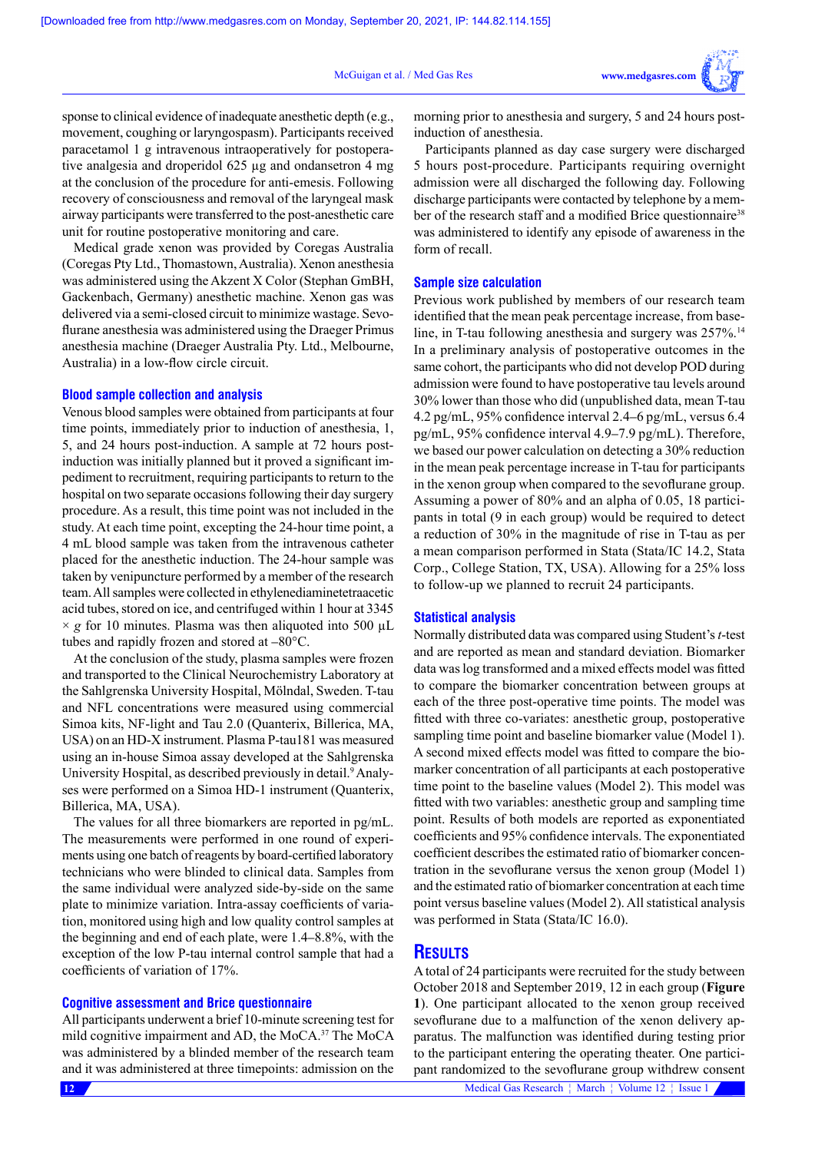McGuigan et al. / Med Gas Res



sponse to clinical evidence of inadequate anesthetic depth (e.g., movement, coughing or laryngospasm). Participants received paracetamol 1 g intravenous intraoperatively for postoperative analgesia and droperidol 625 µg and ondansetron 4 mg at the conclusion of the procedure for anti-emesis. Following recovery of consciousness and removal of the laryngeal mask airway participants were transferred to the post-anesthetic care unit for routine postoperative monitoring and care.

Medical grade xenon was provided by Coregas Australia (Coregas Pty Ltd., Thomastown, Australia). Xenon anesthesia was administered using the Akzent X Color (Stephan GmBH, Gackenbach, Germany) anesthetic machine. Xenon gas was delivered via a semi-closed circuit to minimize wastage. Sevoflurane anesthesia was administered using the Draeger Primus anesthesia machine (Draeger Australia Pty. Ltd., Melbourne, Australia) in a low-flow circle circuit.

# **Blood sample collection and analysis**

Venous blood samples were obtained from participants at four time points, immediately prior to induction of anesthesia, 1, 5, and 24 hours post-induction. A sample at 72 hours postinduction was initially planned but it proved a significant impediment to recruitment, requiring participants to return to the hospital on two separate occasions following their day surgery procedure. As a result, this time point was not included in the study. At each time point, excepting the 24-hour time point, a 4 mL blood sample was taken from the intravenous catheter placed for the anesthetic induction. The 24-hour sample was taken by venipuncture performed by a member of the research team. All samples were collected in ethylenediaminetetraacetic acid tubes, stored on ice, and centrifuged within 1 hour at 3345  $\times g$  for 10 minutes. Plasma was then aliquoted into 500  $\mu$ L tubes and rapidly frozen and stored at –80°C.

At the conclusion of the study, plasma samples were frozen and transported to the Clinical Neurochemistry Laboratory at the Sahlgrenska University Hospital, Mölndal, Sweden. T-tau and NFL concentrations were measured using commercial Simoa kits, NF-light and Tau 2.0 (Quanterix, Billerica, MA, USA) on an HD-X instrument. Plasma P-tau181 was measured using an in-house Simoa assay developed at the Sahlgrenska University Hospital, as described previously in detail.<sup>9</sup> Analyses were performed on a Simoa HD-1 instrument (Quanterix, Billerica, MA, USA).

The values for all three biomarkers are reported in pg/mL. The measurements were performed in one round of experiments using one batch of reagents by board-certified laboratory technicians who were blinded to clinical data. Samples from the same individual were analyzed side-by-side on the same plate to minimize variation. Intra-assay coefficients of variation, monitored using high and low quality control samples at the beginning and end of each plate, were 1.4–8.8%, with the exception of the low P-tau internal control sample that had a coefficients of variation of 17%.

# **Cognitive assessment and Brice questionnaire**

All participants underwent a brief 10-minute screening test for mild cognitive impairment and AD, the MoCA.<sup>37</sup> The MoCA was administered by a blinded member of the research team and it was administered at three timepoints: admission on the

morning prior to anesthesia and surgery, 5 and 24 hours postinduction of anesthesia.

Participants planned as day case surgery were discharged 5 hours post-procedure. Participants requiring overnight admission were all discharged the following day. Following discharge participants were contacted by telephone by a member of the research staff and a modified Brice questionnaire<sup>38</sup> was administered to identify any episode of awareness in the form of recall.

## **Sample size calculation**

Previous work published by members of our research team identified that the mean peak percentage increase, from baseline, in T-tau following anesthesia and surgery was 257%.<sup>14</sup> In a preliminary analysis of postoperative outcomes in the same cohort, the participants who did not develop POD during admission were found to have postoperative tau levels around 30% lower than those who did (unpublished data, mean T-tau 4.2 pg/mL, 95% confidence interval 2.4–6 pg/mL, versus 6.4 pg/mL, 95% confidence interval 4.9–7.9 pg/mL). Therefore, we based our power calculation on detecting a 30% reduction in the mean peak percentage increase in T-tau for participants in the xenon group when compared to the sevoflurane group. Assuming a power of 80% and an alpha of 0.05, 18 participants in total (9 in each group) would be required to detect a reduction of 30% in the magnitude of rise in T-tau as per a mean comparison performed in Stata (Stata/IC 14.2, Stata Corp., College Station, TX, USA). Allowing for a 25% loss to follow-up we planned to recruit 24 participants.

# **Statistical analysis**

Normally distributed data was compared using Student's *t*-test and are reported as mean and standard deviation. Biomarker data was log transformed and a mixed effects model was fitted to compare the biomarker concentration between groups at each of the three post-operative time points. The model was fitted with three co-variates: anesthetic group, postoperative sampling time point and baseline biomarker value (Model 1). A second mixed effects model was fitted to compare the biomarker concentration of all participants at each postoperative time point to the baseline values (Model 2). This model was fitted with two variables: anesthetic group and sampling time point. Results of both models are reported as exponentiated coefficients and 95% confidence intervals. The exponentiated coefficient describes the estimated ratio of biomarker concentration in the sevoflurane versus the xenon group (Model 1) and the estimated ratio of biomarker concentration at each time point versus baseline values (Model 2). All statistical analysis was performed in Stata (Stata/IC 16.0).

# **RESULTS**

A total of 24 participants were recruited for the study between October 2018 and September 2019, 12 in each group (**Figure 1**). One participant allocated to the xenon group received sevoflurane due to a malfunction of the xenon delivery apparatus. The malfunction was identified during testing prior to the participant entering the operating theater. One participant randomized to the sevoflurane group withdrew consent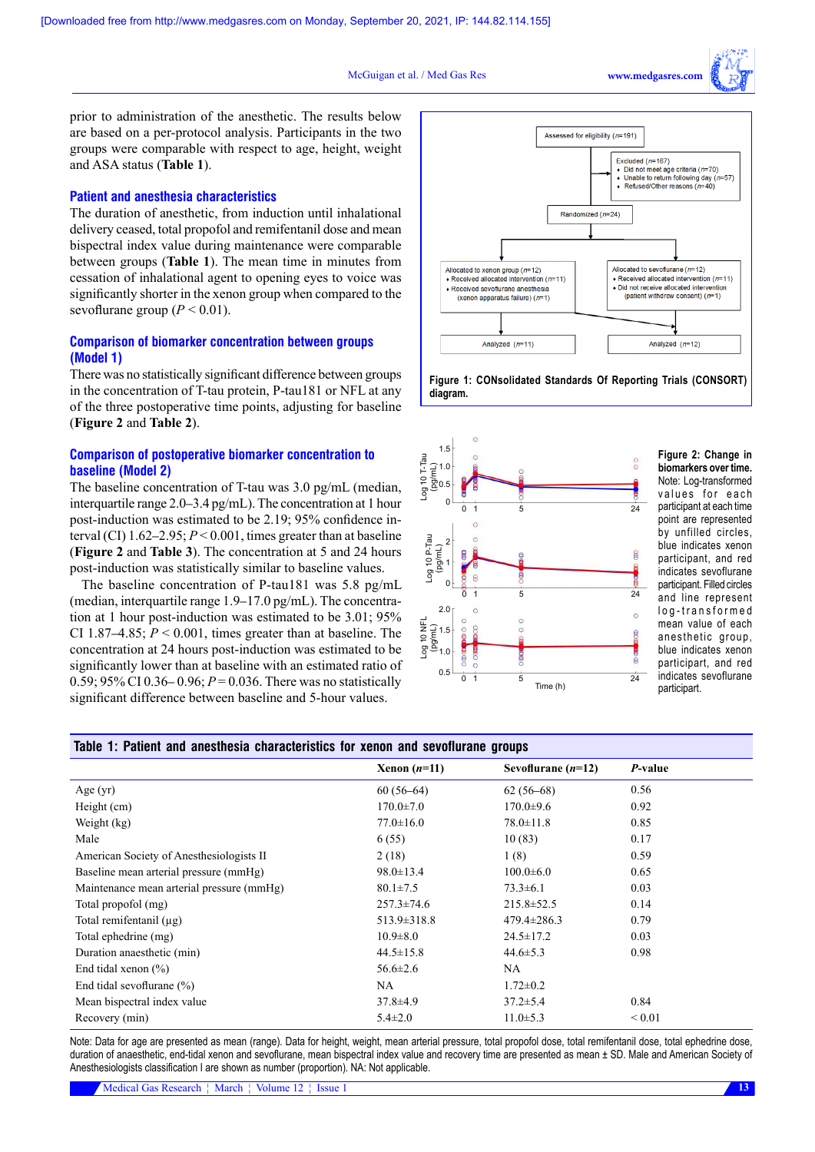McGuigan et al. / Med Gas Res **www.medgasres.com/** 

prior to administration of the anesthetic. The results below are based on a per-protocol analysis. Participants in the two groups were comparable with respect to age, height, weight and ASA status (**Table 1**).

# **Patient and anesthesia characteristics**

The duration of anesthetic, from induction until inhalational delivery ceased, total propofol and remifentanil dose and mean bispectral index value during maintenance were comparable between groups (**Table 1**). The mean time in minutes from cessation of inhalational agent to opening eyes to voice was significantly shorter in the xenon group when compared to the sevoflurane group  $(P < 0.01)$ .

# **Comparison of biomarker concentration between groups (Model 1)**

There was no statistically significant difference between groups in the concentration of T-tau protein, P-tau181 or NFL at any of the three postoperative time points, adjusting for baseline (**Figure 2** and **Table 2**).

# **Comparison of postoperative biomarker concentration to baseline (Model 2)**

The baseline concentration of T-tau was 3.0 pg/mL (median, interquartile range 2.0–3.4 pg/mL). The concentration at 1 hour post-induction was estimated to be 2.19; 95% confidence interval (CI)  $1.62-2.95$ ;  $P < 0.001$ , times greater than at baseline (**Figure 2** and **Table 3**). The concentration at 5 and 24 hours post-induction was statistically similar to baseline values.

The baseline concentration of P-tau181 was 5.8 pg/mL (median, interquartile range 1.9–17.0 pg/mL). The concentration at 1 hour post-induction was estimated to be 3.01; 95% CI 1.87–4.85;  $P \le 0.001$ , times greater than at baseline. The concentration at 24 hours post-induction was estimated to be significantly lower than at baseline with an estimated ratio of 0.59; 95% CI 0.36– 0.96;  $P = 0.036$ . There was no statistically significant difference between baseline and 5-hour values.



**Figure 1: CONsolidated Standards Of Reporting Trials (CONSORT) diagram.**



**Figure 2: Change in biomarkers over time.**  Note: Log-transformed values for each participant at each time point are represented by unfilled circles, blue indicates xenon participant, and red indicates sevoflurane participant. Filled circles and line represent log-transformed mean value of each anesthetic group, blue indicates xenon participart, and red indicates sevoflurane participart.

# **Table 1: Patient and anesthesia characteristics for xenon and sevoflurane groups**

|                                           | Xenon $(n=11)$    | Sevoflurane $(n=12)$ | $P$ -value  |
|-------------------------------------------|-------------------|----------------------|-------------|
| Age $(yr)$                                | $60(56-64)$       | $62(56-68)$          | 0.56        |
| Height (cm)                               | $170.0 \pm 7.0$   | $170.0 \pm 9.6$      | 0.92        |
| Weight (kg)                               | $77.0 \pm 16.0$   | $78.0 \pm 11.8$      | 0.85        |
| Male                                      | 6(55)             | 10(83)               | 0.17        |
| American Society of Anesthesiologists II  | 2(18)             | 1(8)                 | 0.59        |
| Baseline mean arterial pressure (mmHg)    | $98.0 \pm 13.4$   | $100.0 \pm 6.0$      | 0.65        |
| Maintenance mean arterial pressure (mmHg) | $80.1 \pm 7.5$    | $73.3 \pm 6.1$       | 0.03        |
| Total propofol (mg)                       | $257.3 \pm 74.6$  | $215.8 \pm 52.5$     | 0.14        |
| Total remifentanil $(\mu g)$              | $513.9 \pm 318.8$ | $479.4 \pm 286.3$    | 0.79        |
| Total ephedrine (mg)                      | $10.9 \pm 8.0$    | $24.5 \pm 17.2$      | 0.03        |
| Duration anaesthetic (min)                | $44.5 \pm 15.8$   | $44.6 \pm 5.3$       | 0.98        |
| End tidal xenon $(\% )$                   | $56.6 \pm 2.6$    | NA                   |             |
| End tidal sevoflurane $(\%)$              | NA.               | $1.72 \pm 0.2$       |             |
| Mean bispectral index value               | $37.8 \pm 4.9$    | $37.2 \pm 5.4$       | 0.84        |
| Recovery (min)                            | $5.4 \pm 2.0$     | $11.0 \pm 5.3$       | ${}_{0.01}$ |

Note: Data for age are presented as mean (range). Data for height, weight, mean arterial pressure, total propofol dose, total remifentanil dose, total ephedrine dose, duration of anaesthetic, end-tidal xenon and sevoflurane, mean bispectral index value and recovery time are presented as mean ± SD. Male and American Society of Anesthesiologists classification I are shown as number (proportion). NA: Not applicable.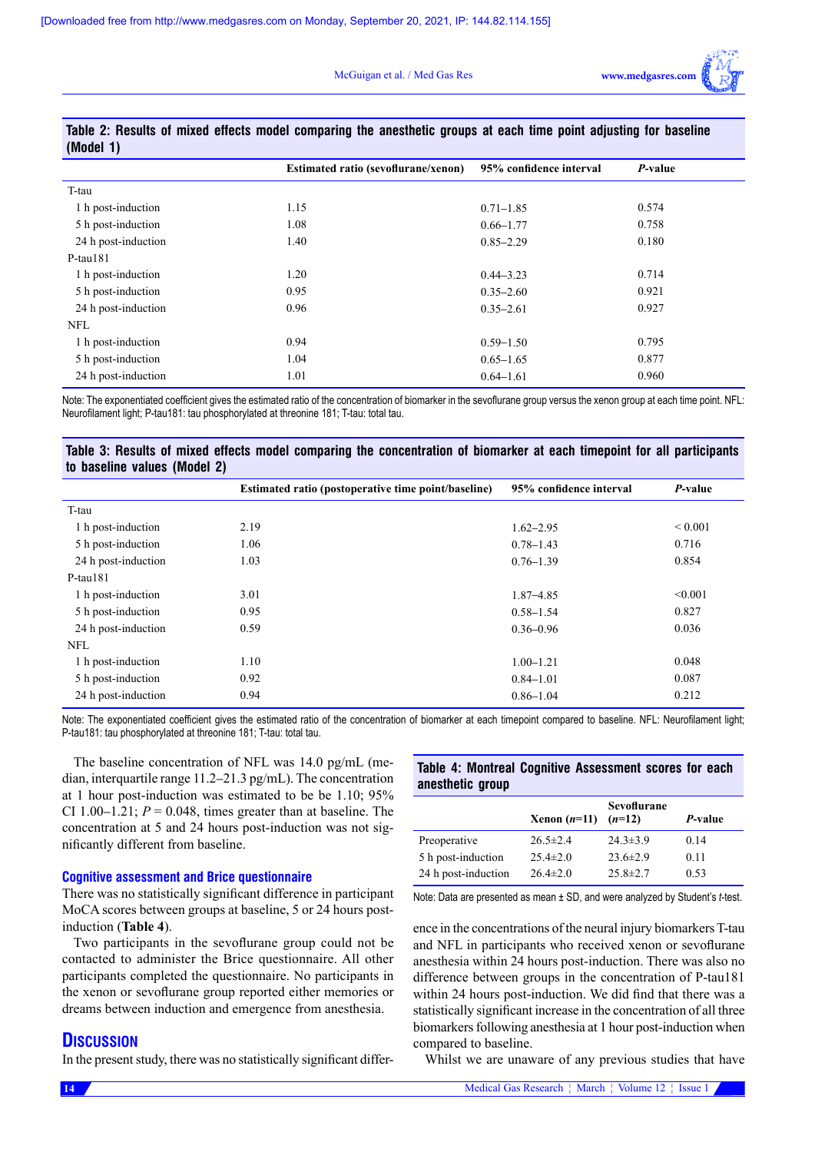

| (INIOUCI I)         |                                            |                         |         |
|---------------------|--------------------------------------------|-------------------------|---------|
|                     | <b>Estimated ratio (sevoflurane/xenon)</b> | 95% confidence interval | P-value |
| T-tau               |                                            |                         |         |
| 1 h post-induction  | 1.15                                       | $0.71 - 1.85$           | 0.574   |
| 5 h post-induction  | 1.08                                       | $0.66 - 1.77$           | 0.758   |
| 24 h post-induction | 1.40                                       | $0.85 - 2.29$           | 0.180   |
| $P$ -tau $181$      |                                            |                         |         |
| 1 h post-induction  | 1.20                                       | $0.44 - 3.23$           | 0.714   |
| 5 h post-induction  | 0.95                                       | $0.35 - 2.60$           | 0.921   |
| 24 h post-induction | 0.96                                       | $0.35 - 2.61$           | 0.927   |
| <b>NFL</b>          |                                            |                         |         |
| 1 h post-induction  | 0.94                                       | $0.59 - 1.50$           | 0.795   |
| 5 h post-induction  | 1.04                                       | $0.65 - 1.65$           | 0.877   |
| 24 h post-induction | 1.01                                       | $0.64 - 1.61$           | 0.960   |

#### **Table 2: Results of mixed effects model comparing the anesthetic groups at each time point adjusting for baseline (Model 1)**

Note: The exponentiated coefficient gives the estimated ratio of the concentration of biomarker in the sevoflurane group versus the xenon group at each time point. NFL: Neurofilament light; P-tau181: tau phosphorylated at threonine 181; T-tau: total tau.

# **Table 3: Results of mixed effects model comparing the concentration of biomarker at each timepoint for all participants to baseline values (Model 2)**

|                     | Estimated ratio (postoperative time point/baseline) | 95% confidence interval | P-value      |
|---------------------|-----------------------------------------------------|-------------------------|--------------|
| T-tau               |                                                     |                         |              |
| 1 h post-induction  | 2.19                                                | $1.62 - 2.95$           | ${}_{0.001}$ |
| 5 h post-induction  | 1.06                                                | $0.78 - 1.43$           | 0.716        |
| 24 h post-induction | 1.03                                                | $0.76 - 1.39$           | 0.854        |
| P-tau181            |                                                     |                         |              |
| 1 h post-induction  | 3.01                                                | 1.87-4.85               | < 0.001      |
| 5 h post-induction  | 0.95                                                | $0.58 - 1.54$           | 0.827        |
| 24 h post-induction | 0.59                                                | $0.36 - 0.96$           | 0.036        |
| <b>NFL</b>          |                                                     |                         |              |
| 1 h post-induction  | 1.10                                                | $1.00 - 1.21$           | 0.048        |
| 5 h post-induction  | 0.92                                                | $0.84 - 1.01$           | 0.087        |
| 24 h post-induction | 0.94                                                | $0.86 - 1.04$           | 0.212        |

Note: The exponentiated coefficient gives the estimated ratio of the concentration of biomarker at each timepoint compared to baseline. NFL: Neurofilament light; P-tau181: tau phosphorylated at threonine 181; T-tau: total tau.

The baseline concentration of NFL was 14.0 pg/mL (median, interquartile range 11.2–21.3 pg/mL). The concentration at 1 hour post-induction was estimated to be be 1.10; 95% CI 1.00–1.21;  $P = 0.048$ , times greater than at baseline. The concentration at 5 and 24 hours post-induction was not significantly different from baseline.

# **Cognitive assessment and Brice questionnaire**

There was no statistically significant difference in participant MoCA scores between groups at baseline, 5 or 24 hours postinduction (**Table 4**).

Two participants in the sevoflurane group could not be contacted to administer the Brice questionnaire. All other participants completed the questionnaire. No participants in the xenon or sevoflurane group reported either memories or dreams between induction and emergence from anesthesia.

# **DISCUSSION**

In the present study, there was no statistically significant differ-

# **Table 4: Montreal Cognitive Assessment scores for each anesthetic group**

|                     | Xenon $(n=11)$ | Sevoflurane<br>$(n=12)$ | <i>P</i> -value |
|---------------------|----------------|-------------------------|-----------------|
| Preoperative        | $26.5 \pm 2.4$ | $24.3 \pm 3.9$          | 0.14            |
| 5 h post-induction  | $25.4 \pm 2.0$ | $23.6 \pm 2.9$          | 0.11            |
| 24 h post-induction | $26.4 \pm 2.0$ | $25.8 \pm 2.7$          | 0.53            |

Note: Data are presented as mean ± SD, and were analyzed by Student's *t*-test.

ence in the concentrations of the neural injury biomarkers T-tau and NFL in participants who received xenon or sevoflurane anesthesia within 24 hours post-induction. There was also no difference between groups in the concentration of P-tau181 within 24 hours post-induction. We did find that there was a statistically significant increase in the concentration of all three biomarkers following anesthesia at 1 hour post-induction when compared to baseline.

Whilst we are unaware of any previous studies that have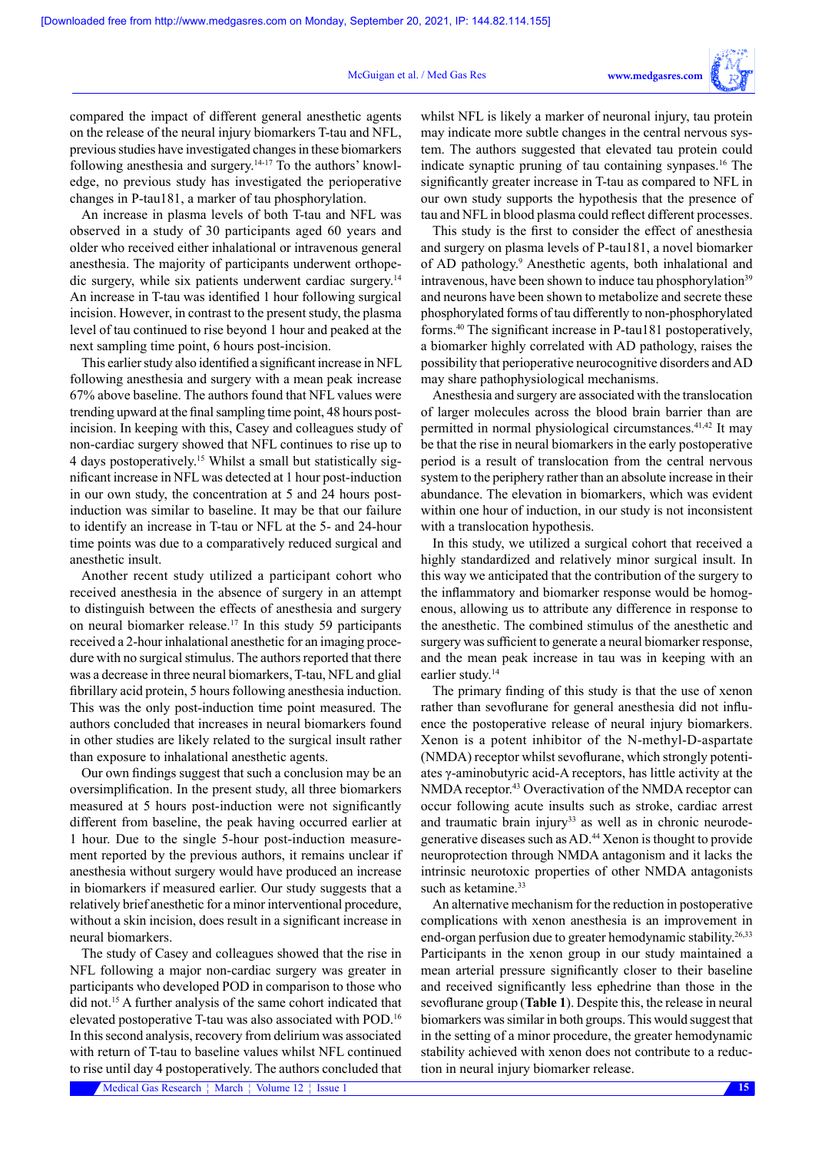compared the impact of different general anesthetic agents on the release of the neural injury biomarkers T-tau and NFL, previous studies have investigated changes in these biomarkers following anesthesia and surgery.14-17 To the authors' knowledge, no previous study has investigated the perioperative changes in P-tau181, a marker of tau phosphorylation.

An increase in plasma levels of both T-tau and NFL was observed in a study of 30 participants aged 60 years and older who received either inhalational or intravenous general anesthesia. The majority of participants underwent orthopedic surgery, while six patients underwent cardiac surgery.14 An increase in T-tau was identified 1 hour following surgical incision. However, in contrast to the present study, the plasma level of tau continued to rise beyond 1 hour and peaked at the next sampling time point, 6 hours post-incision.

This earlier study also identified a significant increase in NFL following anesthesia and surgery with a mean peak increase 67% above baseline. The authors found that NFL values were trending upward at the final sampling time point, 48 hours postincision. In keeping with this, Casey and colleagues study of non-cardiac surgery showed that NFL continues to rise up to 4 days postoperatively.15 Whilst a small but statistically significant increase in NFL was detected at 1 hour post-induction in our own study, the concentration at 5 and 24 hours postinduction was similar to baseline. It may be that our failure to identify an increase in T-tau or NFL at the 5- and 24-hour time points was due to a comparatively reduced surgical and anesthetic insult.

Another recent study utilized a participant cohort who received anesthesia in the absence of surgery in an attempt to distinguish between the effects of anesthesia and surgery on neural biomarker release.17 In this study 59 participants received a 2-hour inhalational anesthetic for an imaging procedure with no surgical stimulus. The authors reported that there was a decrease in three neural biomarkers, T-tau, NFL and glial fibrillary acid protein, 5 hours following anesthesia induction. This was the only post-induction time point measured. The authors concluded that increases in neural biomarkers found in other studies are likely related to the surgical insult rather than exposure to inhalational anesthetic agents.

Our own findings suggest that such a conclusion may be an oversimplification. In the present study, all three biomarkers measured at 5 hours post-induction were not significantly different from baseline, the peak having occurred earlier at 1 hour. Due to the single 5-hour post-induction measurement reported by the previous authors, it remains unclear if anesthesia without surgery would have produced an increase in biomarkers if measured earlier. Our study suggests that a relatively brief anesthetic for a minor interventional procedure, without a skin incision, does result in a significant increase in neural biomarkers.

The study of Casey and colleagues showed that the rise in NFL following a major non-cardiac surgery was greater in participants who developed POD in comparison to those who did not.15 A further analysis of the same cohort indicated that elevated postoperative T-tau was also associated with POD.16 In this second analysis, recovery from delirium was associated with return of T-tau to baseline values whilst NFL continued to rise until day 4 postoperatively. The authors concluded that

Medical Gas Research ¦ March ¦ Volume 12 ¦ Issue 1 **15**

whilst NFL is likely a marker of neuronal injury, tau protein may indicate more subtle changes in the central nervous system. The authors suggested that elevated tau protein could indicate synaptic pruning of tau containing synpases.<sup>16</sup> The significantly greater increase in T-tau as compared to NFL in our own study supports the hypothesis that the presence of tau and NFL in blood plasma could reflect different processes.

This study is the first to consider the effect of anesthesia and surgery on plasma levels of P-tau181, a novel biomarker of AD pathology.9 Anesthetic agents, both inhalational and intravenous, have been shown to induce tau phosphorylation<sup>39</sup> and neurons have been shown to metabolize and secrete these phosphorylated forms of tau differently to non-phosphorylated forms.40 The significant increase in P-tau181 postoperatively, a biomarker highly correlated with AD pathology, raises the possibility that perioperative neurocognitive disorders and AD may share pathophysiological mechanisms.

Anesthesia and surgery are associated with the translocation of larger molecules across the blood brain barrier than are permitted in normal physiological circumstances.<sup>41,42</sup> It may be that the rise in neural biomarkers in the early postoperative period is a result of translocation from the central nervous system to the periphery rather than an absolute increase in their abundance. The elevation in biomarkers, which was evident within one hour of induction, in our study is not inconsistent with a translocation hypothesis.

In this study, we utilized a surgical cohort that received a highly standardized and relatively minor surgical insult. In this way we anticipated that the contribution of the surgery to the inflammatory and biomarker response would be homogenous, allowing us to attribute any difference in response to the anesthetic. The combined stimulus of the anesthetic and surgery was sufficient to generate a neural biomarker response, and the mean peak increase in tau was in keeping with an earlier study.<sup>14</sup>

The primary finding of this study is that the use of xenon rather than sevoflurane for general anesthesia did not influence the postoperative release of neural injury biomarkers. Xenon is a potent inhibitor of the N-methyl-D-aspartate (NMDA) receptor whilst sevoflurane, which strongly potentiates γ-aminobutyric acid-A receptors, has little activity at the NMDA receptor.<sup>43</sup> Overactivation of the NMDA receptor can occur following acute insults such as stroke, cardiac arrest and traumatic brain injury $33$  as well as in chronic neurodegenerative diseases such as AD.44 Xenon is thought to provide neuroprotection through NMDA antagonism and it lacks the intrinsic neurotoxic properties of other NMDA antagonists such as ketamine.<sup>33</sup>

An alternative mechanism for the reduction in postoperative complications with xenon anesthesia is an improvement in end-organ perfusion due to greater hemodynamic stability.<sup>26,33</sup> Participants in the xenon group in our study maintained a mean arterial pressure significantly closer to their baseline and received significantly less ephedrine than those in the sevoflurane group (**Table 1**). Despite this, the release in neural biomarkers was similar in both groups. This would suggest that in the setting of a minor procedure, the greater hemodynamic stability achieved with xenon does not contribute to a reduction in neural injury biomarker release.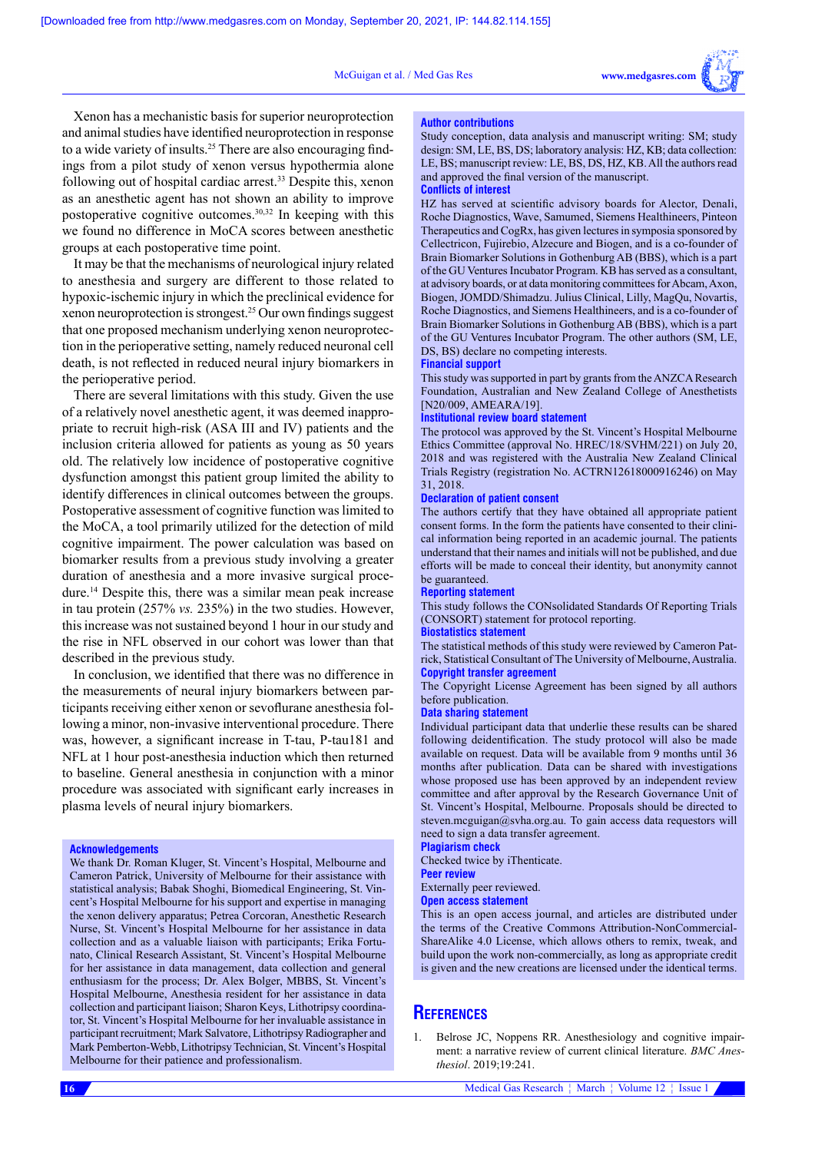#### McGuigan et al. / Med Gas Res



Xenon has a mechanistic basis for superior neuroprotection and animal studies have identified neuroprotection in response to a wide variety of insults.25 There are also encouraging findings from a pilot study of xenon versus hypothermia alone following out of hospital cardiac arrest.<sup>33</sup> Despite this, xenon as an anesthetic agent has not shown an ability to improve postoperative cognitive outcomes.30,32 In keeping with this we found no difference in MoCA scores between anesthetic groups at each postoperative time point.

It may be that the mechanisms of neurological injury related to anesthesia and surgery are different to those related to hypoxic-ischemic injury in which the preclinical evidence for xenon neuroprotection is strongest.25 Our own findings suggest that one proposed mechanism underlying xenon neuroprotection in the perioperative setting, namely reduced neuronal cell death, is not reflected in reduced neural injury biomarkers in the perioperative period.

There are several limitations with this study. Given the use of a relatively novel anesthetic agent, it was deemed inappropriate to recruit high-risk (ASA III and IV) patients and the inclusion criteria allowed for patients as young as 50 years old. The relatively low incidence of postoperative cognitive dysfunction amongst this patient group limited the ability to identify differences in clinical outcomes between the groups. Postoperative assessment of cognitive function was limited to the MoCA, a tool primarily utilized for the detection of mild cognitive impairment. The power calculation was based on biomarker results from a previous study involving a greater duration of anesthesia and a more invasive surgical procedure.14 Despite this, there was a similar mean peak increase in tau protein (257% *vs.* 235%) in the two studies. However, this increase was not sustained beyond 1 hour in our study and the rise in NFL observed in our cohort was lower than that described in the previous study.

In conclusion, we identified that there was no difference in the measurements of neural injury biomarkers between participants receiving either xenon or sevoflurane anesthesia following a minor, non-invasive interventional procedure. There was, however, a significant increase in T-tau, P-tau181 and NFL at 1 hour post-anesthesia induction which then returned to baseline. General anesthesia in conjunction with a minor procedure was associated with significant early increases in plasma levels of neural injury biomarkers.

#### **Acknowledgements**

We thank Dr. Roman Kluger, St. Vincent's Hospital, Melbourne and Cameron Patrick, University of Melbourne for their assistance with statistical analysis; Babak Shoghi, Biomedical Engineering, St. Vincent's Hospital Melbourne for his support and expertise in managing the xenon delivery apparatus; Petrea Corcoran, Anesthetic Research Nurse, St. Vincent's Hospital Melbourne for her assistance in data collection and as a valuable liaison with participants; Erika Fortunato, Clinical Research Assistant, St. Vincent's Hospital Melbourne for her assistance in data management, data collection and general enthusiasm for the process; Dr. Alex Bolger, MBBS, St. Vincent's Hospital Melbourne, Anesthesia resident for her assistance in data collection and participant liaison; Sharon Keys, Lithotripsy coordinator, St. Vincent's Hospital Melbourne for her invaluable assistance in participant recruitment; Mark Salvatore, Lithotripsy Radiographer and Mark Pemberton-Webb, Lithotripsy Technician, St. Vincent's Hospital Melbourne for their patience and professionalism.

Study conception, data analysis and manuscript writing: SM; study design: SM, LE, BS, DS; laboratory analysis: HZ, KB; data collection: LE, BS; manuscript review: LE, BS, DS, HZ, KB. All the authors read and approved the final version of the manuscript.

# **Conflicts of interest**

**Author contributions**

HZ has served at scientific advisory boards for Alector, Denali, Roche Diagnostics, Wave, Samumed, Siemens Healthineers, Pinteon Therapeutics and CogRx, has given lectures in symposia sponsored by Cellectricon, Fujirebio, Alzecure and Biogen, and is a co-founder of Brain Biomarker Solutions in Gothenburg AB (BBS), which is a part of the GU Ventures Incubator Program. KB has served as a consultant, at advisory boards, or at data monitoring committees for Abcam, Axon, Biogen, JOMDD/Shimadzu. Julius Clinical, Lilly, MagQu, Novartis, Roche Diagnostics, and Siemens Healthineers, and is a co-founder of Brain Biomarker Solutions in Gothenburg AB (BBS), which is a part of the GU Ventures Incubator Program. The other authors (SM, LE, DS, BS) declare no competing interests.

#### **Financial support**

This study was supported in part by grants from the ANZCA Research Foundation, Australian and New Zealand College of Anesthetists [N20/009, AMEARA/19].

#### **Institutional review board statement**

The protocol was approved by the St. Vincent's Hospital Melbourne Ethics Committee (approval No. HREC/18/SVHM/221) on July 20, 2018 and was registered with the Australia New Zealand Clinical Trials Registry (registration No. ACTRN12618000916246) on May 31, 2018.

#### **Declaration of patient consent**

The authors certify that they have obtained all appropriate patient consent forms. In the form the patients have consented to their clinical information being reported in an academic journal. The patients understand that their names and initials will not be published, and due efforts will be made to conceal their identity, but anonymity cannot be guaranteed.

#### **Reporting statement**

This study follows the CONsolidated Standards Of Reporting Trials (CONSORT) statement for protocol reporting.

#### **Biostatistics statement**

The statistical methods of this study were reviewed by Cameron Patrick, Statistical Consultant of The University of Melbourne, Australia. **Copyright transfer agreement**

The Copyright License Agreement has been signed by all authors before publication.

#### **Data sharing statement**

Individual participant data that underlie these results can be shared following deidentification. The study protocol will also be made available on request. Data will be available from 9 months until 36 months after publication. Data can be shared with investigations whose proposed use has been approved by an independent review committee and after approval by the Research Governance Unit of St. Vincent's Hospital, Melbourne. Proposals should be directed to steven.mcguigan@svha.org.au. To gain access data requestors will need to sign a data transfer agreement.

#### **Plagiarism check**

Checked twice by iThenticate.

**Peer review**

Externally peer reviewed.

#### **Open access statement**

This is an open access journal, and articles are distributed under the terms of the Creative Commons Attribution-NonCommercial-ShareAlike 4.0 License, which allows others to remix, tweak, and build upon the work non-commercially, as long as appropriate credit is given and the new creations are licensed under the identical terms.

# **References**

1. Belrose JC, Noppens RR. Anesthesiology and cognitive impairment: a narrative review of current clinical literature. *BMC Anesthesiol*. 2019;19:241.